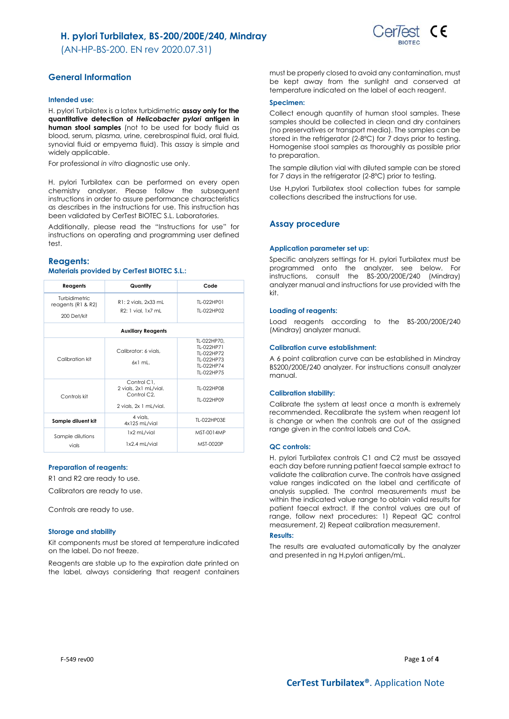(AN-HP-BS-200. EN rev 2020.07.31)



## **General Information**

#### **Intended use:**

H. pylori Turbilatex is a latex turbidimetric **assay only for the quantitative detection of** *Helicobacter pylori* **antigen in human stool samples** (not to be used for body fluid as blood, serum, plasma, urine, cerebrospinal fluid, oral fluid, synovial fluid or empyema fluid). This assay is simple and widely applicable.

For professional *in vitro* diagnostic use only.

H. pylori Turbilatex can be performed on every open chemistry analyser. Please follow the subsequent instructions in order to assure performance characteristics as describes in the instructions for use. This instruction has been validated by CerTest BIOTEC S.L. Laboratories.

Additionally, please read the "Instructions for use" for instructions on operating and programming user defined test.

### **Reagents:**

### **Materials provided by CerTest BIOTEC S.L.:**

| Reagents                                             | Quantity                                                                                   | Code                                                                              |  |  |  |
|------------------------------------------------------|--------------------------------------------------------------------------------------------|-----------------------------------------------------------------------------------|--|--|--|
| Turbidimetric<br>reagents $(R1 & R2)$<br>200 Det/kit | R1: 2 vials, 2x33 mL<br>R2: 1 vial, 1x7 mL                                                 | TI-022HP01<br>TI-022HP02                                                          |  |  |  |
| <b>Auxiliary Reagents</b>                            |                                                                                            |                                                                                   |  |  |  |
| Calibration kit                                      | Calibrator: 6 vials,<br>$6x1$ ml.                                                          | TL-022HP70.<br>TI-022HP71<br>TI-022HP72<br>TI-022HP73<br>TI-022HP74<br>TI-022HP75 |  |  |  |
| Controls kit                                         | Control C1.<br>2 vials, 2x1 mL/vial.<br>Control C <sub>2</sub> .<br>2 vials, 2x 1 mL/vial. | TI-022HP08<br>TI-022HP09                                                          |  |  |  |
| Sample diluent kit                                   | 4 vials.<br>4x125 mL/vial                                                                  | TI-022HP03F                                                                       |  |  |  |
| Sample dilutions<br>vials                            | 1x2 mL/vial<br>1x2.4 mL/vial                                                               | MST-0014MP<br>MST-0020P                                                           |  |  |  |

#### **Preparation of reagents:**

R1 and R2 are ready to use.

Calibrators are ready to use.

Controls are ready to use.

#### **Storage and stability**

Kit components must be stored at temperature indicated on the label. Do not freeze.

Reagents are stable up to the expiration date printed on the label, always considering that reagent containers must be properly closed to avoid any contamination, must be kept away from the sunlight and conserved at temperature indicated on the label of each reagent.

#### **Specimen:**

Collect enough quantity of human stool samples. These samples should be collected in clean and dry containers (no preservatives or transport media). The samples can be stored in the refrigerator (2-8ºC) for 7 days prior to testing. Homogenise stool samples as thoroughly as possible prior to preparation.

The sample dilution vial with diluted sample can be stored for 7 days in the refrigerator (2-8ºC) prior to testing.

Use H.pylori Turbilatex stool collection tubes for sample collections described the instructions for use.

### **Assay procedure**

#### **Application parameter set up:**

Specific analyzers settings for H. pylori Turbilatex must be programmed onto the analyzer, see below. For instructions, consult the BS-200/200E/240 (Mindray) analyzer manual and instructions for use provided with the kit.

#### **Loading of reagents:**

Load reagents according to the BS-200/200E/240 (Mindray) analyzer manual.

#### **Calibration curve establishment:**

A 6 point calibration curve can be established in Mindray BS200/200E/240 analyzer. For instructions consult analyzer manual.

#### **Calibration stability:**

Calibrate the system at least once a month is extremely recommended. Recalibrate the system when reagent lot is change or when the controls are out of the assigned range given in the control labels and CoA.

#### **QC controls:**

H. pylori Turbilatex controls C1 and C2 must be assayed each day before running patient faecal sample extract to validate the calibration curve. The controls have assigned value ranges indicated on the label and certificate of analysis supplied. The control measurements must be within the indicated value range to obtain valid results for patient faecal extract. If the control values are out of range, follow next procedures: 1) Repeat QC control measurement, 2) Repeat calibration measurement.

#### **Results:**

The results are evaluated automatically by the analyzer and presented in ng H.pylori antigen/mL.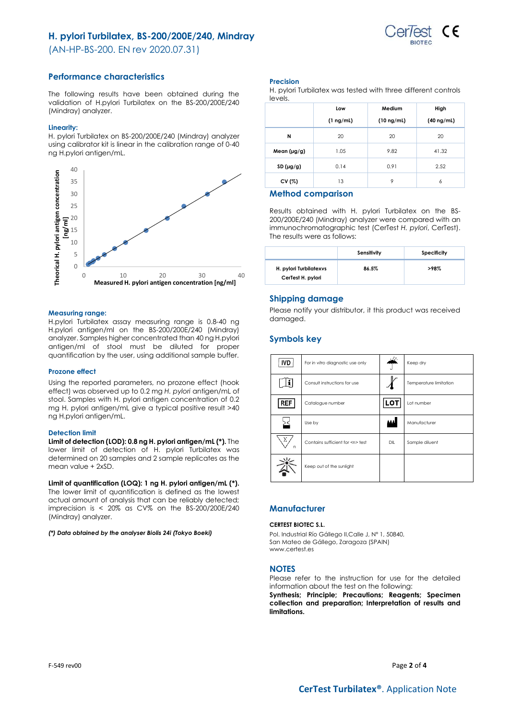

(AN-HP-BS-200. EN rev 2020.07.31)

## **Performance characteristics**

The following results have been obtained during the validation of H.pylori Turbilatex on the BS-200/200E/240 (Mindray) analyzer.

#### **Linearity:**

H. pylori Turbilatex on BS-200/200E/240 (Mindray) analyzer using calibrator kit is linear in the calibration range of 0-40 ng H.pylori antigen/mL.



### **Measuring range:**

H.pylori Turbilatex assay measuring range is 0.8-40 ng H.pylori antigen/ml on the BS-200/200E/240 (Mindray) analyzer. Samples higher concentrated than 40 ng H.pylori antigen/ml of stool must be diluted for proper quantification by the user, using additional sample buffer.

### **Prozone effect**

Using the reported parameters, no prozone effect (hook effect) was observed up to 0.2 mg *H. pylori* antigen/mL of stool. Samples with H. pylori antigen concentration of 0.2 mg H. pylori antigen/mL give a typical positive result >40 ng H.pylori antigen/mL.

### **Detection limit**

**Limit of detection (LOD): 0.8 ng H. pylori antigen/mL (\*).** The lower limit of detection of H. pylori Turbilatex was determined on 20 samples and 2 sample replicates as the mean value + 2xSD.

### **Limit of quantification (LOQ): 1 ng H. pylori antigen/mL (\*).**

The lower limit of quantification is defined as the lowest actual amount of analysis that can be reliably detected; imprecision is  $\langle 20\% \rangle$  as CV% on the BS-200/200E/240 (Mindray) analyzer.

#### *(\*) Data obtained by the analyser Biolis 24i (Tokyo Boeki)*

#### **Precision**

| H. pylori Turbilatex was tested with three different controls |  |
|---------------------------------------------------------------|--|
| levels.                                                       |  |

|                  | Low            | Medium          | High            |
|------------------|----------------|-----------------|-----------------|
|                  | $(1 \nmid mL)$ | $(10 \nmid mL)$ | $(40 \nmid mL)$ |
| N                | 20             | 20              | 20              |
| Mean $(\mu g/g)$ | 1.05           | 9.82            | 41.32           |
| SD(µg/g)         | 0.14           | 0.91            | 2.52            |
| CV (%)           | 13             | 9               | 6               |

### **Method comparison**

Results obtained with H. pylori Turbilatex on the BS-200/200E/240 (Mindray) analyzer were compared with an immunochromatographic test (CerTest *H. pylori*, CerTest). The results were as follows:

|                                             | Sensitivity | Specificity |
|---------------------------------------------|-------------|-------------|
| H. pylori Turbilatexys<br>CerTest H. pylori | 86.5%       | >98%        |

### **Shipping damage**

Please notify your distributor, it this product was received damaged.

## **Symbols key**

| IVD        | For in vitro diagnostic use only     |     | Keep dry               |  |
|------------|--------------------------------------|-----|------------------------|--|
| li.        | Consult instructions for use         |     | Temperature limitation |  |
| <b>REF</b> | Catalogue number                     | LOT | Lot number             |  |
|            | Use by                               |     | Manufacturer           |  |
| Σ<br>n     | Contains sufficient for <n> test</n> | DIL | Sample diluent         |  |
|            | Keep out of the sunlight             |     |                        |  |

## **Manufacturer**

#### **CERTEST BIOTEC S.L.**

Pol. Industrial Río Gállego II,Calle J, Nº 1, 50840, San Mateo de Gállego, Zaragoza (SPAIN) www.certest.es

### **NOTES**

Please refer to the instruction for use for the detailed information about the test on the following:

**Synthesis; Principle; Precautions; Reagents; Specimen collection and preparation; Interpretation of results and limitations.**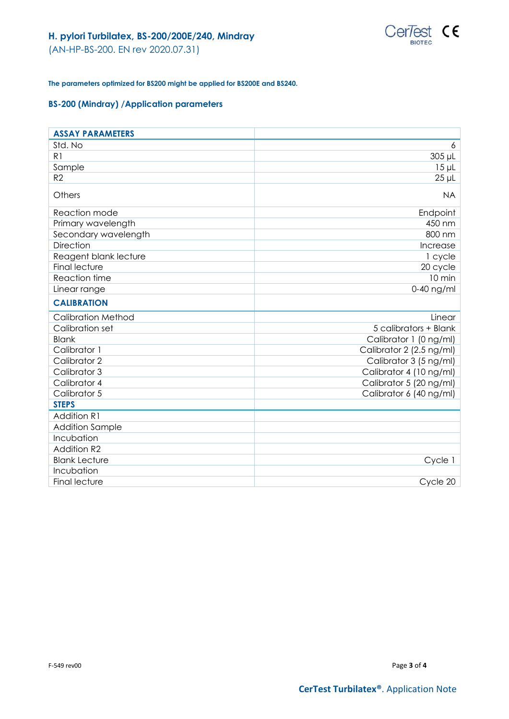

(AN-HP-BS-200. EN rev 2020.07.31)

## **The parameters optimized for BS200 might be applied for BS200E and BS240.**

## **BS-200 (Mindray) /Application parameters**

| <b>ASSAY PARAMETERS</b>   |                          |
|---------------------------|--------------------------|
| Std. No                   | 6                        |
| R1                        | 305 µL                   |
| Sample                    | $15 \mu L$               |
| R2                        | $25$ $\mu$ L             |
| Others                    | <b>NA</b>                |
| Reaction mode             | Endpoint                 |
| Primary wavelength        | 450 nm                   |
| Secondary wavelength      | 800 nm                   |
| <b>Direction</b>          | Increase                 |
| Reagent blank lecture     | 1 cycle                  |
| <b>Final lecture</b>      | 20 cycle                 |
| Reaction time             | 10 min                   |
| Linear range              | 0-40 ng/ml               |
| <b>CALIBRATION</b>        |                          |
|                           |                          |
| <b>Calibration Method</b> | Linear                   |
| Calibration set           | 5 calibrators + Blank    |
| <b>Blank</b>              | Calibrator 1 (0 ng/ml)   |
| Calibrator 1              | Calibrator 2 (2.5 ng/ml) |
| Calibrator 2              | Calibrator 3 (5 ng/ml)   |
| Calibrator 3              | Calibrator 4 (10 ng/ml)  |
| Calibrator 4              | Calibrator 5 (20 ng/ml)  |
| Calibrator 5              | Calibrator 6 (40 ng/ml)  |
| <b>STEPS</b>              |                          |
| <b>Addition R1</b>        |                          |
| <b>Addition Sample</b>    |                          |
| Incubation                |                          |
| <b>Addition R2</b>        |                          |
| <b>Blank Lecture</b>      | Cycle 1                  |
| Incubation                |                          |